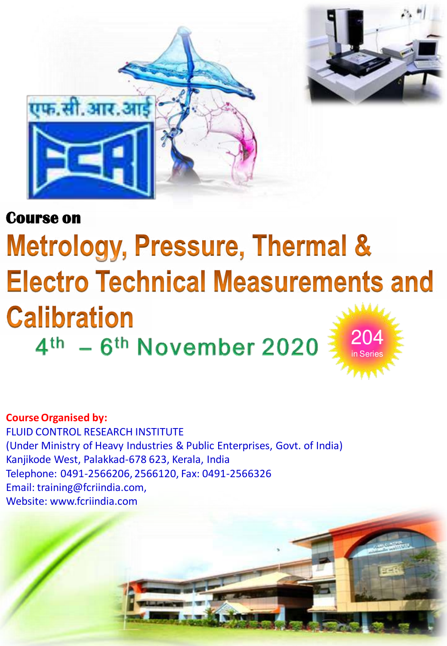



#### **Course on**

### **Metrology, Pressure, Thermal & Electro Technical Measurements and Calibration** 204 4th - 6th November 2020 in Series

**Course Organised by:**  FLUID CONTROL RESEARCH INSTITUTE (Under Ministry of Heavy Industries & Public Enterprises, Govt. of India) Kanjikode West, Palakkad-678 623, Kerala, India Telephone: 0491-2566206, 2566120, Fax: 0491-2566326 Email: training@fcriindia.com, Website: www.fcriindia.com

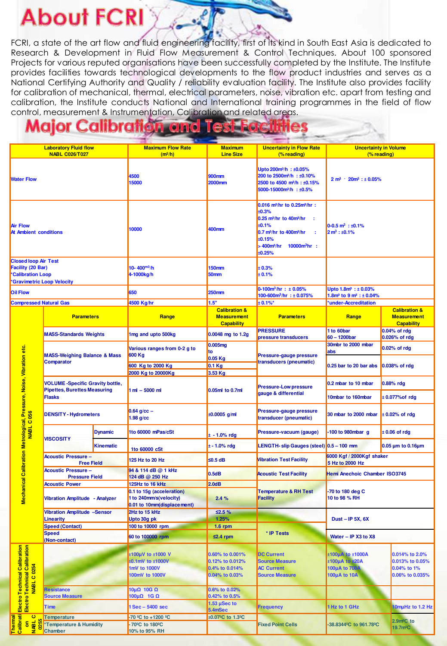# **About FCRI**

FCRI, a state of the art flow and fluid engineering facility, first of its kind in South East Asia is dedicated to Research & Development in Fluid Flow Measurement & Control Techniques. About 100 sponsored Projects for various reputed organisations have been successfully completed by the Institute. The Institute provides facilities towards technological developments to the flow product industries and serves as a National Certifying Authority and Quality / reliability evaluation facility. The Institute also provides facility for calibration of mechanical, thermal, electrical parameters, noise, vibration etc. apart from testing and calibration, the Institute conducts National and International training programmes in the field of flow control, measurement & Instrumentation, Calibration and related areas.

#### **Major Calibration and**

| <b>Laboratory Fluid flow</b>                                                                                    |                                                                                    |                                                                                                        |                | <b>Maximum Flow Rate</b>                              | <b>Maximum</b>                                                      | <b>Uncertainty in Flow Rate</b>                                                                                                                                                                                                        | <b>Uncertainty in Volume</b>                                          |                                                                     |
|-----------------------------------------------------------------------------------------------------------------|------------------------------------------------------------------------------------|--------------------------------------------------------------------------------------------------------|----------------|-------------------------------------------------------|---------------------------------------------------------------------|----------------------------------------------------------------------------------------------------------------------------------------------------------------------------------------------------------------------------------------|-----------------------------------------------------------------------|---------------------------------------------------------------------|
|                                                                                                                 |                                                                                    | <b>NABL C026/T027</b>                                                                                  |                | $(m^3/h)$                                             | <b>Line Size</b>                                                    | (% reading)                                                                                                                                                                                                                            | (% reading)                                                           |                                                                     |
| <b>Water Flow</b>                                                                                               |                                                                                    |                                                                                                        |                | 4500<br>15000                                         | 900mm<br><b>2000mm</b>                                              | Upto 200m <sup>3</sup> /h : ±0.05%<br>200 to 2500m <sup>3</sup> /h : ±0.10%<br>2500 to 4500 m <sup>3</sup> /h: ±0.15%<br>5000-15000m <sup>3</sup> /h : ±0.5%                                                                           | $2 m^3$ $\cdot$ $20 m^3$ : $\pm 0.05\%$                               |                                                                     |
| <b>Air Flow</b><br><b>At Ambient conditions</b>                                                                 |                                                                                    |                                                                                                        |                | 10000                                                 | 400mm                                                               | 0.016 m <sup>3</sup> /hr to 0.25m <sup>3</sup> /hr :<br>±0.3%<br>0.25 m <sup>3</sup> /hr to 40m <sup>3</sup> /hr<br>±0.1%<br>0.7 m <sup>3</sup> /hr to 400m <sup>3</sup> /hr<br>÷<br>±0.15%<br>> 400m3/hr<br>$10000m^3$ hr :<br>±0.25% | $0-0.5$ m <sup>3</sup> : ±0.1%<br>$2 m^3 : \pm 0.1\%$                 |                                                                     |
| <b>Closed loop Air Test</b><br>Facility (20 Bar)<br><b>Calibration Loop</b><br><b>Gravimetric Loop Velocity</b> |                                                                                    |                                                                                                        |                | 10-400 $m^3/h$<br>4-1000kg/h                          | <b>150mm</b><br>50mm                                                | ± 0.3%<br>± 0.1%                                                                                                                                                                                                                       |                                                                       |                                                                     |
| <b>Oil Flow</b>                                                                                                 |                                                                                    |                                                                                                        |                | 650                                                   | <b>250mm</b>                                                        | $0-100m^3/hr : ± 0.05%$<br>100-600 $m^3/hr : \pm 0.075\%$                                                                                                                                                                              | Upto 1.8m <sup>3</sup> : ±0.03%<br>1.8 $m^3$ to 9 $m^3$ : $\pm$ 0.04% |                                                                     |
|                                                                                                                 |                                                                                    | <b>Compressed Natural Gas</b>                                                                          |                | 4500 Kg/hr                                            | 1.5"                                                                | $± 0.1\%$ *                                                                                                                                                                                                                            | *under-Accreditation                                                  |                                                                     |
|                                                                                                                 |                                                                                    | <b>Parameters</b>                                                                                      |                | Range                                                 | <b>Calibration &amp;</b><br><b>Measurement</b><br><b>Capability</b> | <b>Parameters</b>                                                                                                                                                                                                                      | Range                                                                 | <b>Calibration &amp;</b><br><b>Measurement</b><br><b>Capability</b> |
|                                                                                                                 |                                                                                    | <b>MASS-Standards Weights</b>                                                                          |                | 1mg and upto 500kg                                    | 0.0048 mg to 1.2g                                                   | <b>PRESSURE</b><br>pressure transducers                                                                                                                                                                                                | 1 to 60bar<br>$60 - 1200$ bar                                         | 0.04% of rdg<br>0.026% of rdg                                       |
|                                                                                                                 |                                                                                    |                                                                                                        |                |                                                       | 0.005mg                                                             |                                                                                                                                                                                                                                        | 30mbr to 2000 mbar                                                    |                                                                     |
|                                                                                                                 |                                                                                    |                                                                                                        |                | Various ranges from 0-2 g to                          | to                                                                  |                                                                                                                                                                                                                                        | abs                                                                   | 0.02% of rdg                                                        |
|                                                                                                                 |                                                                                    | <b>MASS-Weighing Balance &amp; Mass</b>                                                                |                | 600 Kg                                                | $0.05$ Kg                                                           | Pressure-gauge pressure                                                                                                                                                                                                                |                                                                       |                                                                     |
|                                                                                                                 |                                                                                    | <b>Comparator</b>                                                                                      |                | 600 Kg to 2000 Kg                                     | $0.1$ Kg                                                            | transducers (pneumatic)                                                                                                                                                                                                                | 0.25 bar to 20 bar abs                                                | 0.038% of rdg                                                       |
|                                                                                                                 |                                                                                    |                                                                                                        |                | 2000 Kg to 20000Kg                                    | 3.53 Kg                                                             |                                                                                                                                                                                                                                        |                                                                       |                                                                     |
|                                                                                                                 |                                                                                    |                                                                                                        |                |                                                       |                                                                     |                                                                                                                                                                                                                                        |                                                                       |                                                                     |
|                                                                                                                 | Mechanical Calibration Metrological, Pressure, Noise, Vibration etc.<br>NABL C 056 | <b>VOLUME-Specific Gravity bottle,</b><br><b>Pipettes, Burettes Measuring</b><br><b>Flasks</b>         |                | $1 ml - 5000 ml$                                      | 0.05ml to 0.7ml                                                     | <b>Pressure-Low pressure</b><br>gauge & differential                                                                                                                                                                                   | 0.2 mbar to 10 mbar<br>10mbar to 160mbar                              | 0.88% rdg<br>± 0.077% of rdg                                        |
|                                                                                                                 |                                                                                    |                                                                                                        |                |                                                       |                                                                     |                                                                                                                                                                                                                                        |                                                                       |                                                                     |
|                                                                                                                 |                                                                                    | <b>DENSITY - Hydrometers</b>                                                                           |                | $0.64$ g/cc $-$<br>$1.98$ g/cc                        | $±0.0005$ g/ml                                                      | Pressure-gauge pressure<br>transducer (pneumatic)                                                                                                                                                                                      | 30 mbar to 2000 mbar                                                  | $\pm$ 0.02% of rdg                                                  |
|                                                                                                                 |                                                                                    | <b>VISCOSITY</b>                                                                                       | <b>Dynamic</b> | 1to 60000 mPas/cSt                                    | $± -1.0%$ rdg                                                       | Pressure-vacuum (gauge)                                                                                                                                                                                                                | 100 to 980mbar g                                                      | $± 0.06$ of rdg                                                     |
|                                                                                                                 |                                                                                    |                                                                                                        | Kinematic      | 1to 60000 cSt                                         | $± - 1.0%$ rdg                                                      | LENGTH-slip Gauges (steel) 0.5 - 100 mm                                                                                                                                                                                                |                                                                       | 0.05 µm to 0.16µm                                                   |
|                                                                                                                 |                                                                                    | <b>Acoustic Pressure -</b><br><b>Free Field</b><br><b>Acoustic Pressure -</b><br><b>Pressure Field</b> |                | 125 Hz to 20 Hz                                       | ≤0.5 dB                                                             | <b>Vibration Test Facility</b>                                                                                                                                                                                                         | 6000 Kgf / 2000Kgf shaker<br>5 Hz to 2000 Hz                          |                                                                     |
|                                                                                                                 |                                                                                    |                                                                                                        |                | 94 & 114 dB @ 1 kHz                                   | 0.5dB                                                               | <b>Acoustic Test Facility</b>                                                                                                                                                                                                          | Hemi Anechoic Chamber ISO3745                                         |                                                                     |
|                                                                                                                 |                                                                                    |                                                                                                        |                | 124 dB @ 250 Hz                                       |                                                                     |                                                                                                                                                                                                                                        |                                                                       |                                                                     |
|                                                                                                                 |                                                                                    | <b>Acoustic Power</b>                                                                                  |                | 125Hz to 16 kHz                                       | 2.0dB                                                               | <b>Temperature &amp; RH Test</b><br><b>Facility</b>                                                                                                                                                                                    | -70 to 180 deg C<br>10 to 98 % RH                                     |                                                                     |
|                                                                                                                 |                                                                                    | Vibration Amplitude - Analyzer                                                                         |                | 0.1 to 15q (acceleration)                             |                                                                     |                                                                                                                                                                                                                                        |                                                                       |                                                                     |
|                                                                                                                 |                                                                                    |                                                                                                        |                | 1 to 240mm/s(velocity)<br>0.01 to 10mm(displace ment) | 2.4%                                                                |                                                                                                                                                                                                                                        |                                                                       |                                                                     |
|                                                                                                                 |                                                                                    | Vibration Amplitude -Sensor                                                                            |                | 2Hz to 15 kHz                                         | 52.5%                                                               |                                                                                                                                                                                                                                        |                                                                       |                                                                     |
|                                                                                                                 |                                                                                    | <b>Linearity</b>                                                                                       |                | Upto 30g pk                                           | 1.25%                                                               |                                                                                                                                                                                                                                        | Dust - IP 5X, $6X$                                                    |                                                                     |
|                                                                                                                 |                                                                                    | <b>Speed (Contact)</b>                                                                                 |                | 100 to 10000 rpm                                      | $1.6$ rpm                                                           |                                                                                                                                                                                                                                        | Water - IP X3 to X8                                                   |                                                                     |
|                                                                                                                 |                                                                                    | <b>Speed</b>                                                                                           |                | 60 to 100000 rpm                                      | $≤2.4$ rpm                                                          | * IP Tests                                                                                                                                                                                                                             |                                                                       |                                                                     |
|                                                                                                                 |                                                                                    | (Non-contact)                                                                                          |                |                                                       |                                                                     |                                                                                                                                                                                                                                        |                                                                       |                                                                     |
|                                                                                                                 | Electro Technical Calibration<br>Electro Technical Calibration<br>MABL C 0254      |                                                                                                        |                | ±100µV to ±1000 V                                     | 0.60% to 0.001%                                                     | ±100µA to ±1000A<br><b>DC Current</b><br><b>Source Measure</b>                                                                                                                                                                         |                                                                       | 0.014% to 2.0%                                                      |
|                                                                                                                 |                                                                                    |                                                                                                        |                | ±0.1mV to ±1000V                                      | 0.12% to 0.012%                                                     |                                                                                                                                                                                                                                        | ±100μA to ±20A                                                        | 0.013% to 0.05%                                                     |
|                                                                                                                 |                                                                                    |                                                                                                        |                | 1mV to 1000V                                          | 0.4% to 0.014%                                                      | <b>AC Current</b>                                                                                                                                                                                                                      | 100µA to 700                                                          | 0.04% to 1%                                                         |
|                                                                                                                 |                                                                                    |                                                                                                        |                | 100mV to 1000V                                        | 0.04% to 0.03%                                                      | <b>Source Measure</b>                                                                                                                                                                                                                  | 100µA to 10A                                                          | 0.06% to 0.035%                                                     |
|                                                                                                                 |                                                                                    |                                                                                                        |                |                                                       |                                                                     |                                                                                                                                                                                                                                        |                                                                       |                                                                     |
|                                                                                                                 |                                                                                    | Resistance                                                                                             |                | 10μΩ 10G Ω                                            | 0.6% to 0.02%                                                       |                                                                                                                                                                                                                                        |                                                                       |                                                                     |
|                                                                                                                 |                                                                                    | <b>Source Measure</b>                                                                                  |                | 100μΩ 1G Ω                                            | 0.42% to 0.5%                                                       |                                                                                                                                                                                                                                        |                                                                       |                                                                     |
|                                                                                                                 |                                                                                    | Time                                                                                                   |                | 1 Sec - 5400 sec                                      | 1.53 $\mu$ Sec to<br>5.4mSec                                        | <b>Frequency</b>                                                                                                                                                                                                                       | 1 Hz to 1 GHz                                                         | 10muHz to 1.2 Hz                                                    |
| Thermal<br>Calibrati                                                                                            | $\circ$                                                                            | Temperature                                                                                            |                | -70 °C to +1200 °C                                    | ±0.07 <sup>°</sup> C to 1.3 <sup>°</sup> C                          |                                                                                                                                                                                                                                        |                                                                       | 2.9 <sub>m<sup>e</sup>C to</sub>                                    |
|                                                                                                                 | <b>on</b><br>MABL                                                                  | *Temperature & Humidity                                                                                |                | -70 <sup>°</sup> C to 180 <sup>°</sup> C              |                                                                     | <b>Fixed Point Cells</b>                                                                                                                                                                                                               | -38.8344 <sup>°</sup> C to 961.78 <sup>°</sup> C                      | 19.7 <sub>m</sub> °C                                                |
|                                                                                                                 |                                                                                    | Chamber                                                                                                |                | 10% to 95% RH                                         |                                                                     |                                                                                                                                                                                                                                        |                                                                       |                                                                     |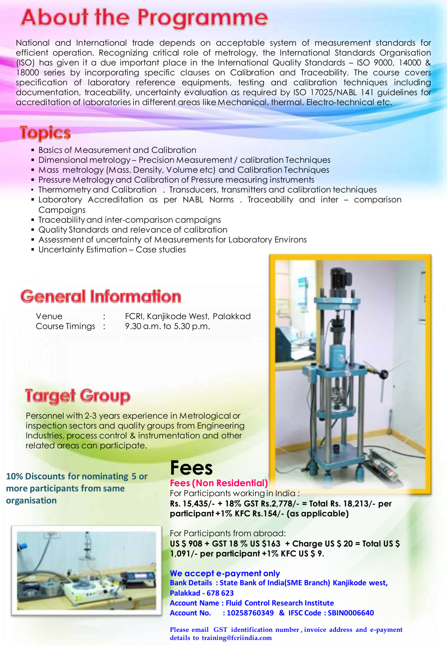# **About the Programme**

National and International trade depends on acceptable system of measurement standards for efficient operation. Recognizing critical role of metrology, the International Standards Organisation (ISO) has given it a due important place in the International Quality Standards – ISO 9000, 14000 & 18000 series by incorporating specific clauses on Calibration and Traceability. The course covers specification of laboratory reference equipments, testing and calibration techniques including documentation, traceability, uncertainty evaluation as required by ISO 17025/NABL 141 guidelines for accreditation of laboratories in different areas like Mechanical, thermal, Electro-technical etc.

#### **Topics**

- **Basics of Measurement and Calibration**
- Dimensional metrology Precision Measurement / calibration Techniques
- Mass metrology (Mass, Density, Volume etc) and Calibration Techniques
- Pressure Metrology and Calibration of Pressure measuring instruments
- Thermometry and Calibration . Transducers, transmitters and calibration techniques
- Laboratory Accreditation as per NABL Norms . Traceability and inter comparison Campaigns
- Traceability and inter-comparison campaigns
- Quality Standards and relevance of calibration
- Assessment of uncertainty of Measurements for Laboratory Environs
- Uncertainty Estimation Case studies

#### **General Information**

Venue : FCRI, Kanjikode West, Palakkad Course Timings : 9.30 a.m. to 5.30 p.m.

### **Target Group**

Personnel with 2-3 years experience in Metrological or inspection sectors and quality groups from Engineering Industries, process control & instrumentation and other related areas can participate.

**10% Discounts for nominating 5 or more participants from same organisation** 



## **Fees**

#### **Fees (Non Residential)**

For Participants working in India : **Rs. 15,435/- + 18% GST Rs.2,778/- = Total Rs. 18,213/- per participant +1% KFC Rs.154/- (as applicable)** 

For Participants from abroad: **US \$ 908 + GST 18 % US \$163 + Charge US \$ 20 = Total US \$ 1,091/- per participant +1% KFC US \$ 9.** 

**We accept e-payment only Bank Details : State Bank of India(SME Branch) Kanjikode west, Palakkad - 678 623 Account Name : Fluid Control Research Institute Account No. : 10258760349 & IFSC Code : SBIN0006640** 

**Please email GST identification number , invoice address and e-payment details to training@fcriindia.com**